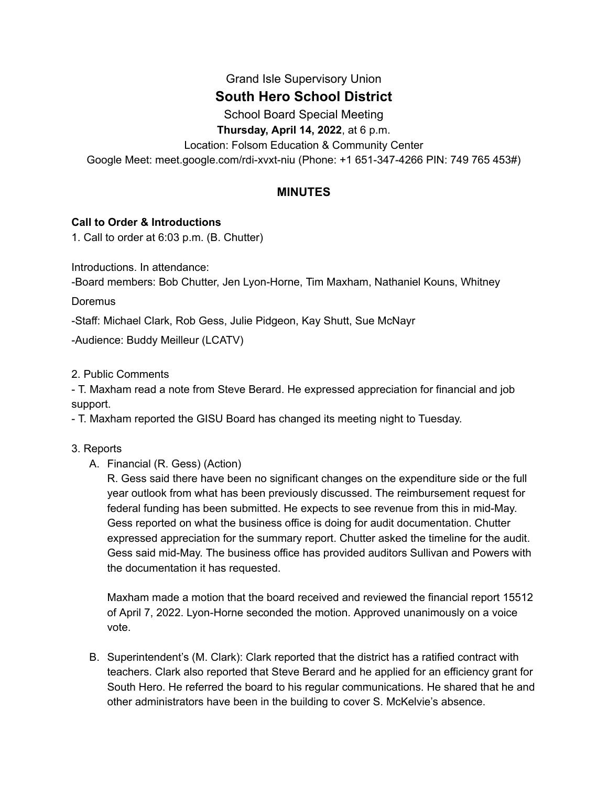# Grand Isle Supervisory Union

# **South Hero School District**

School Board Special Meeting

**Thursday, April 14, 2022**, at 6 p.m.

Location: Folsom Education & Community Center

Google Meet: meet.google.com/rdi-xvxt-niu (Phone: +1 651-347-4266 PIN: 749 765 453#)

## **MINUTES**

## **Call to Order & Introductions**

1. Call to order at 6:03 p.m. (B. Chutter)

Introductions. In attendance:

-Board members: Bob Chutter, Jen Lyon-Horne, Tim Maxham, Nathaniel Kouns, Whitney

**Doremus** 

-Staff: Michael Clark, Rob Gess, Julie Pidgeon, Kay Shutt, Sue McNayr

-Audience: Buddy Meilleur (LCATV)

#### 2. Public Comments

- T. Maxham read a note from Steve Berard. He expressed appreciation for financial and job support.

- T. Maxham reported the GISU Board has changed its meeting night to Tuesday.

- 3. Reports
	- A. Financial (R. Gess) (Action)

R. Gess said there have been no significant changes on the expenditure side or the full year outlook from what has been previously discussed. The reimbursement request for federal funding has been submitted. He expects to see revenue from this in mid-May. Gess reported on what the business office is doing for audit documentation. Chutter expressed appreciation for the summary report. Chutter asked the timeline for the audit. Gess said mid-May. The business office has provided auditors Sullivan and Powers with the documentation it has requested.

Maxham made a motion that the board received and reviewed the financial report 15512 of April 7, 2022. Lyon-Horne seconded the motion. Approved unanimously on a voice vote.

B. Superintendent's (M. Clark): Clark reported that the district has a ratified contract with teachers. Clark also reported that Steve Berard and he applied for an efficiency grant for South Hero. He referred the board to his regular communications. He shared that he and other administrators have been in the building to cover S. McKelvie's absence.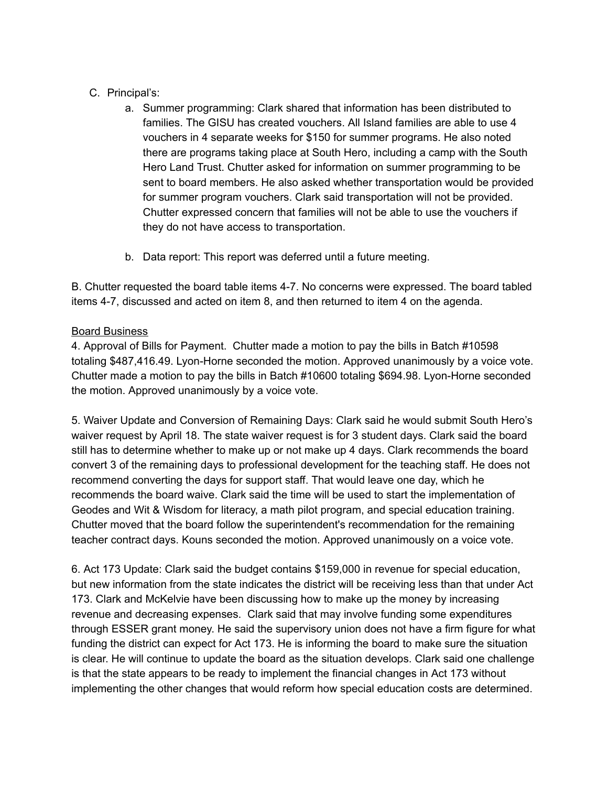# C. Principal's:

- a. Summer programming: Clark shared that information has been distributed to families. The GISU has created vouchers. All Island families are able to use 4 vouchers in 4 separate weeks for \$150 for summer programs. He also noted there are programs taking place at South Hero, including a camp with the South Hero Land Trust. Chutter asked for information on summer programming to be sent to board members. He also asked whether transportation would be provided for summer program vouchers. Clark said transportation will not be provided. Chutter expressed concern that families will not be able to use the vouchers if they do not have access to transportation.
- b. Data report: This report was deferred until a future meeting.

B. Chutter requested the board table items 4-7. No concerns were expressed. The board tabled items 4-7, discussed and acted on item 8, and then returned to item 4 on the agenda.

## Board Business

4. Approval of Bills for Payment. Chutter made a motion to pay the bills in Batch #10598 totaling \$487,416.49. Lyon-Horne seconded the motion. Approved unanimously by a voice vote. Chutter made a motion to pay the bills in Batch #10600 totaling \$694.98. Lyon-Horne seconded the motion. Approved unanimously by a voice vote.

5. Waiver Update and Conversion of Remaining Days: Clark said he would submit South Hero's waiver request by April 18. The state waiver request is for 3 student days. Clark said the board still has to determine whether to make up or not make up 4 days. Clark recommends the board convert 3 of the remaining days to professional development for the teaching staff. He does not recommend converting the days for support staff. That would leave one day, which he recommends the board waive. Clark said the time will be used to start the implementation of Geodes and Wit & Wisdom for literacy, a math pilot program, and special education training. Chutter moved that the board follow the superintendent's recommendation for the remaining teacher contract days. Kouns seconded the motion. Approved unanimously on a voice vote.

6. Act 173 Update: Clark said the budget contains \$159,000 in revenue for special education, but new information from the state indicates the district will be receiving less than that under Act 173. Clark and McKelvie have been discussing how to make up the money by increasing revenue and decreasing expenses. Clark said that may involve funding some expenditures through ESSER grant money. He said the supervisory union does not have a firm figure for what funding the district can expect for Act 173. He is informing the board to make sure the situation is clear. He will continue to update the board as the situation develops. Clark said one challenge is that the state appears to be ready to implement the financial changes in Act 173 without implementing the other changes that would reform how special education costs are determined.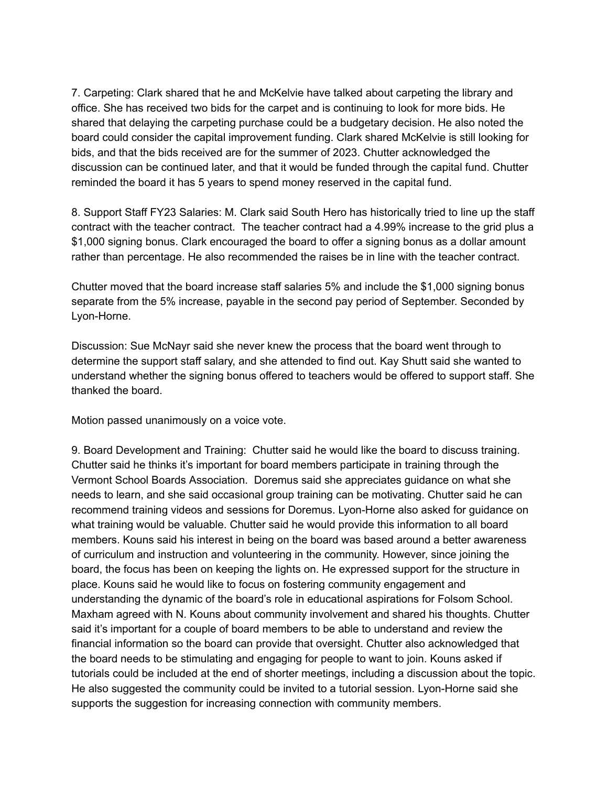7. Carpeting: Clark shared that he and McKelvie have talked about carpeting the library and office. She has received two bids for the carpet and is continuing to look for more bids. He shared that delaying the carpeting purchase could be a budgetary decision. He also noted the board could consider the capital improvement funding. Clark shared McKelvie is still looking for bids, and that the bids received are for the summer of 2023. Chutter acknowledged the discussion can be continued later, and that it would be funded through the capital fund. Chutter reminded the board it has 5 years to spend money reserved in the capital fund.

8. Support Staff FY23 Salaries: M. Clark said South Hero has historically tried to line up the staff contract with the teacher contract. The teacher contract had a 4.99% increase to the grid plus a \$1,000 signing bonus. Clark encouraged the board to offer a signing bonus as a dollar amount rather than percentage. He also recommended the raises be in line with the teacher contract.

Chutter moved that the board increase staff salaries 5% and include the \$1,000 signing bonus separate from the 5% increase, payable in the second pay period of September. Seconded by Lyon-Horne.

Discussion: Sue McNayr said she never knew the process that the board went through to determine the support staff salary, and she attended to find out. Kay Shutt said she wanted to understand whether the signing bonus offered to teachers would be offered to support staff. She thanked the board.

Motion passed unanimously on a voice vote.

9. Board Development and Training: Chutter said he would like the board to discuss training. Chutter said he thinks it's important for board members participate in training through the Vermont School Boards Association. Doremus said she appreciates guidance on what she needs to learn, and she said occasional group training can be motivating. Chutter said he can recommend training videos and sessions for Doremus. Lyon-Horne also asked for guidance on what training would be valuable. Chutter said he would provide this information to all board members. Kouns said his interest in being on the board was based around a better awareness of curriculum and instruction and volunteering in the community. However, since joining the board, the focus has been on keeping the lights on. He expressed support for the structure in place. Kouns said he would like to focus on fostering community engagement and understanding the dynamic of the board's role in educational aspirations for Folsom School. Maxham agreed with N. Kouns about community involvement and shared his thoughts. Chutter said it's important for a couple of board members to be able to understand and review the financial information so the board can provide that oversight. Chutter also acknowledged that the board needs to be stimulating and engaging for people to want to join. Kouns asked if tutorials could be included at the end of shorter meetings, including a discussion about the topic. He also suggested the community could be invited to a tutorial session. Lyon-Horne said she supports the suggestion for increasing connection with community members.